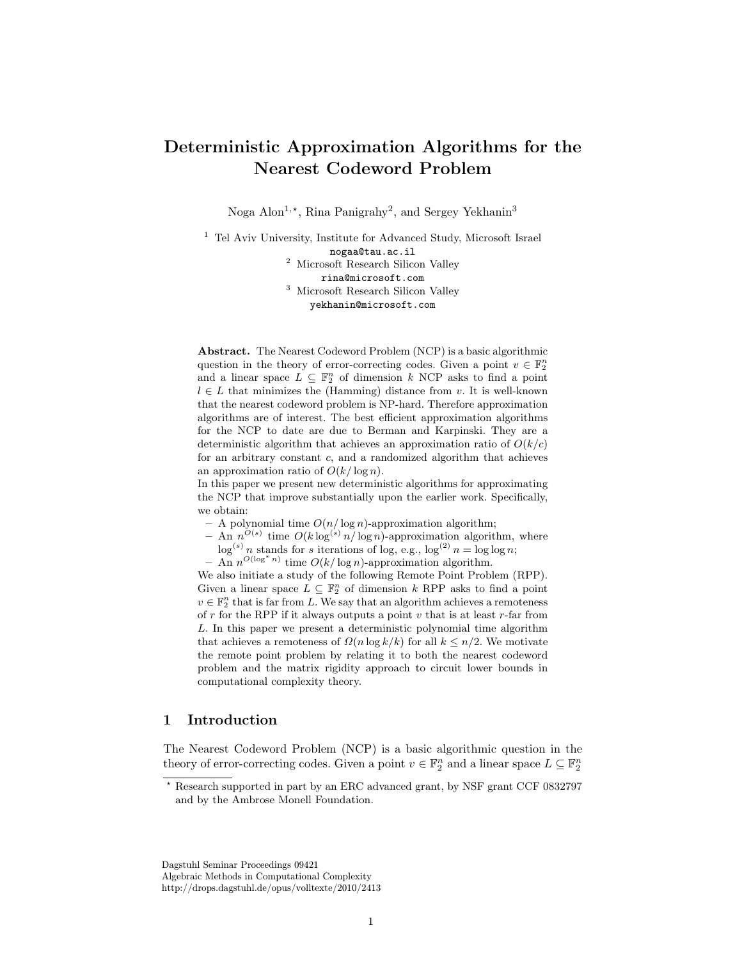# Deterministic Approximation Algorithms for the Nearest Codeword Problem

Noga Alon<sup>1,\*</sup>, Rina Panigrahy<sup>2</sup>, and Sergey Yekhanin<sup>3</sup>

<sup>1</sup> Tel Aviv University, Institute for Advanced Study, Microsoft Israel nogaa@tau.ac.il <sup>2</sup> Microsoft Research Silicon Valley rina@microsoft.com <sup>3</sup> Microsoft Research Silicon Valley yekhanin@microsoft.com

Abstract. The Nearest Codeword Problem (NCP) is a basic algorithmic question in the theory of error-correcting codes. Given a point  $v \in \mathbb{F}_2^n$ and a linear space  $L \subseteq \mathbb{F}_2^n$  of dimension k NCP asks to find a point  $l \in L$  that minimizes the (Hamming) distance from v. It is well-known that the nearest codeword problem is NP-hard. Therefore approximation algorithms are of interest. The best efficient approximation algorithms for the NCP to date are due to Berman and Karpinski. They are a deterministic algorithm that achieves an approximation ratio of  $O(k/c)$ for an arbitrary constant c, and a randomized algorithm that achieves an approximation ratio of  $O(k/\log n)$ .

In this paper we present new deterministic algorithms for approximating the NCP that improve substantially upon the earlier work. Specifically, we obtain:

- A polynomial time  $O(n/\log n)$ -approximation algorithm;
- An  $n^{O(s)}$  time  $O(k \log^{(s)} n / \log n)$ -approximation algorithm, where  $\log^{(s)} n$  stands for s iterations of log, e.g.,  $\log^{(2)} n = \log \log n$ ;
- $-$  An  $n^{O(\log^* n)}$  time  $O(k/\log n)$ -approximation algorithm.

We also initiate a study of the following Remote Point Problem (RPP). Given a linear space  $L \subseteq \mathbb{F}_2^n$  of dimension k RPP asks to find a point  $v \in \mathbb{F}_2^n$  that is far from L. We say that an algorithm achieves a remoteness of  $r$  for the RPP if it always outputs a point  $v$  that is at least  $r$ -far from L. In this paper we present a deterministic polynomial time algorithm that achieves a remoteness of  $\Omega(n \log k/k)$  for all  $k \leq n/2$ . We motivate the remote point problem by relating it to both the nearest codeword problem and the matrix rigidity approach to circuit lower bounds in computational complexity theory.

## 1 Introduction

The Nearest Codeword Problem (NCP) is a basic algorithmic question in the theory of error-correcting codes. Given a point  $v \in \mathbb{F}_2^n$  and a linear space  $L \subseteq \mathbb{F}_2^n$ 

Dagstuhl Seminar Proceedings 09421 Algebraic Methods in Computational Complexity http://drops.dagstuhl.de/opus/volltexte/2010/2413

<sup>?</sup> Research supported in part by an ERC advanced grant, by NSF grant CCF 0832797 and by the Ambrose Monell Foundation.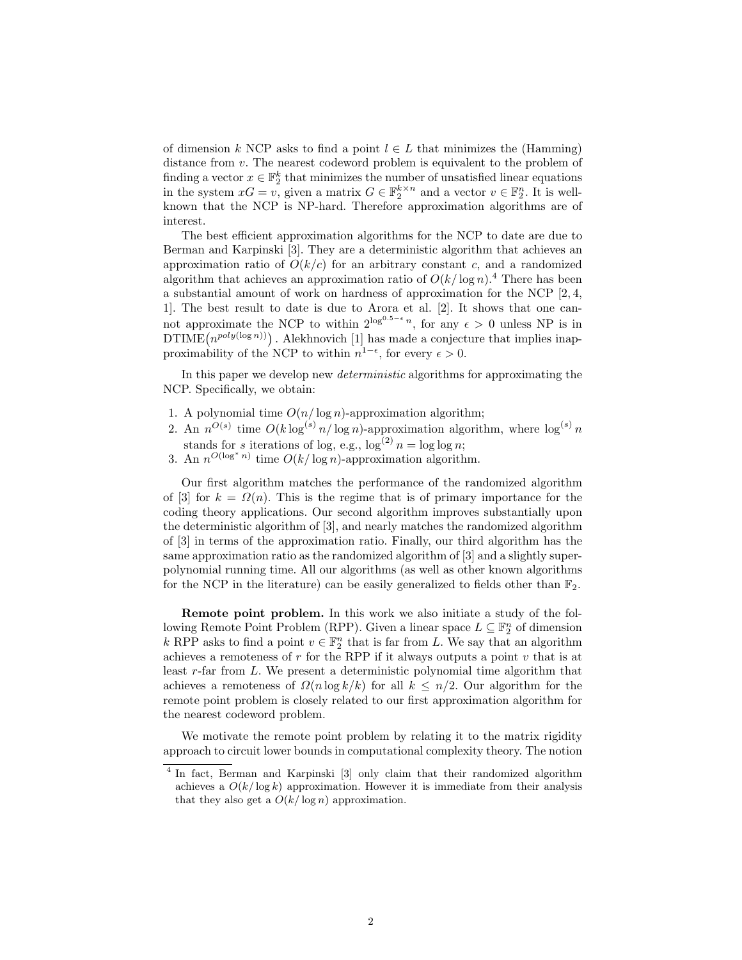of dimension k NCP asks to find a point  $l \in L$  that minimizes the (Hamming) distance from v. The nearest codeword problem is equivalent to the problem of finding a vector  $x \in \mathbb{F}_2^k$  that minimizes the number of unsatisfied linear equations in the system  $xG = v$ , given a matrix  $G \in \mathbb{F}_2^{k \times n}$  and a vector  $v \in \mathbb{F}_2^n$ . It is wellknown that the NCP is NP-hard. Therefore approximation algorithms are of interest.

The best efficient approximation algorithms for the NCP to date are due to Berman and Karpinski [3]. They are a deterministic algorithm that achieves an approximation ratio of  $O(k/c)$  for an arbitrary constant c, and a randomized algorithm that achieves an approximation ratio of  $O(k/\log n)$ .<sup>4</sup> There has been a substantial amount of work on hardness of approximation for the NCP [2, 4, 1]. The best result to date is due to Arora et al. [2]. It shows that one cannot approximate the NCP to within  $2^{\log^{0.5-\epsilon} n}$ , for any  $\epsilon > 0$  unless NP is in  $DTIME(n^{poly(\log n))})$ . Alekhnovich [1] has made a conjecture that implies inapproximability of the NCP to within  $n^{1-\epsilon}$ , for every  $\epsilon > 0$ .

In this paper we develop new deterministic algorithms for approximating the NCP. Specifically, we obtain:

- 1. A polynomial time  $O(n/\log n)$ -approximation algorithm;
- 2. An  $n^{O(s)}$  time  $O(k \log^{(s)} n / \log n)$ -approximation algorithm, where  $\log^{(s)} n$ stands for s iterations of log, e.g.,  $\log^{(2)} n = \log \log n$ ;
- 3. An  $n^{O(\log^* n)}$  time  $O(k/\log n)$ -approximation algorithm.

Our first algorithm matches the performance of the randomized algorithm of [3] for  $k = \Omega(n)$ . This is the regime that is of primary importance for the coding theory applications. Our second algorithm improves substantially upon the deterministic algorithm of [3], and nearly matches the randomized algorithm of [3] in terms of the approximation ratio. Finally, our third algorithm has the same approximation ratio as the randomized algorithm of [3] and a slightly superpolynomial running time. All our algorithms (as well as other known algorithms for the NCP in the literature) can be easily generalized to fields other than  $\mathbb{F}_2$ .

Remote point problem. In this work we also initiate a study of the following Remote Point Problem (RPP). Given a linear space  $L \subseteq \mathbb{F}_2^n$  of dimension k RPP asks to find a point  $v \in \mathbb{F}_2^n$  that is far from L. We say that an algorithm achieves a remoteness of  $r$  for the RPP if it always outputs a point  $v$  that is at least r-far from L. We present a deterministic polynomial time algorithm that achieves a remoteness of  $\Omega(n \log k/k)$  for all  $k \leq n/2$ . Our algorithm for the remote point problem is closely related to our first approximation algorithm for the nearest codeword problem.

We motivate the remote point problem by relating it to the matrix rigidity approach to circuit lower bounds in computational complexity theory. The notion

<sup>&</sup>lt;sup>4</sup> In fact, Berman and Karpinski [3] only claim that their randomized algorithm achieves a  $O(k/\log k)$  approximation. However it is immediate from their analysis that they also get a  $O(k/\log n)$  approximation.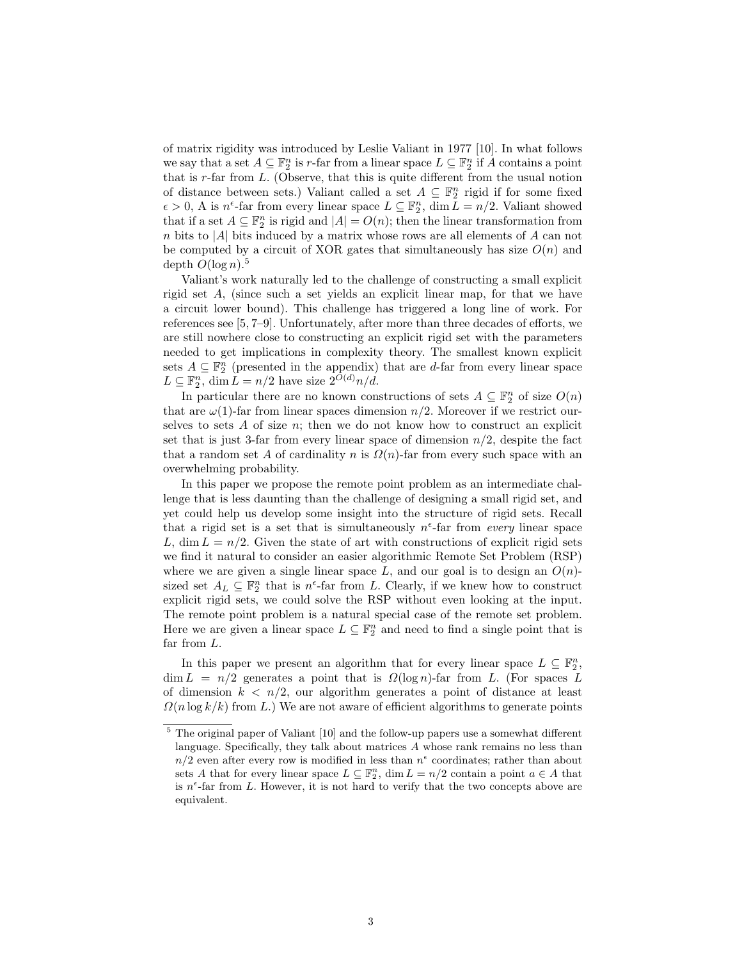of matrix rigidity was introduced by Leslie Valiant in 1977 [10]. In what follows we say that a set  $A \subseteq \mathbb{F}_2^n$  is r-far from a linear space  $L \subseteq \mathbb{F}_2^n$  if A contains a point that is  $r$ -far from  $L$ . (Observe, that this is quite different from the usual notion of distance between sets.) Valiant called a set  $A \subseteq \mathbb{F}_2^n$  rigid if for some fixed  $\epsilon > 0$ , A is  $n^{\epsilon}$ -far from every linear space  $L \subseteq \mathbb{F}_2^n$ , dim  $\bar{L} = n/2$ . Valiant showed that if a set  $A \subseteq \mathbb{F}_2^n$  is rigid and  $|A| = O(n)$ ; then the linear transformation from n bits to |A| bits induced by a matrix whose rows are all elements of A can not be computed by a circuit of XOR gates that simultaneously has size  $O(n)$  and depth  $O(\log n)^5$ .

Valiant's work naturally led to the challenge of constructing a small explicit rigid set A, (since such a set yields an explicit linear map, for that we have a circuit lower bound). This challenge has triggered a long line of work. For references see [5, 7–9]. Unfortunately, after more than three decades of efforts, we are still nowhere close to constructing an explicit rigid set with the parameters needed to get implications in complexity theory. The smallest known explicit sets  $A \subseteq \mathbb{F}_2^n$  (presented in the appendix) that are d-far from every linear space  $L \subseteq \mathbb{F}_2^n$ , dim  $L = n/2$  have size  $2^{O(d)}n/d$ .

In particular there are no known constructions of sets  $A \subseteq \mathbb{F}_2^n$  of size  $O(n)$ that are  $\omega(1)$ -far from linear spaces dimension  $n/2$ . Moreover if we restrict ourselves to sets  $A$  of size  $n$ ; then we do not know how to construct an explicit set that is just 3-far from every linear space of dimension  $n/2$ , despite the fact that a random set A of cardinality n is  $\Omega(n)$ -far from every such space with an overwhelming probability.

In this paper we propose the remote point problem as an intermediate challenge that is less daunting than the challenge of designing a small rigid set, and yet could help us develop some insight into the structure of rigid sets. Recall that a rigid set is a set that is simultaneously  $n^{\epsilon}$ -far from every linear space L, dim  $L = n/2$ . Given the state of art with constructions of explicit rigid sets we find it natural to consider an easier algorithmic Remote Set Problem (RSP) where we are given a single linear space  $L$ , and our goal is to design an  $O(n)$ sized set  $A_L \subseteq \mathbb{F}_2^n$  that is  $n^{\epsilon}$ -far from L. Clearly, if we knew how to construct explicit rigid sets, we could solve the RSP without even looking at the input. The remote point problem is a natural special case of the remote set problem. Here we are given a linear space  $L \subseteq \mathbb{F}_2^n$  and need to find a single point that is far from L.

In this paper we present an algorithm that for every linear space  $L \subseteq \mathbb{F}_2^n$ ,  $\dim L = n/2$  generates a point that is  $\Omega(\log n)$ -far from L. (For spaces L of dimension  $k < n/2$ , our algorithm generates a point of distance at least  $\Omega(n \log k/k)$  from L.) We are not aware of efficient algorithms to generate points

<sup>5</sup> The original paper of Valiant [10] and the follow-up papers use a somewhat different language. Specifically, they talk about matrices A whose rank remains no less than  $n/2$  even after every row is modified in less than  $n^{\epsilon}$  coordinates; rather than about sets A that for every linear space  $L \subseteq \mathbb{F}_2^n$ ,  $\dim L = n/2$  contain a point  $a \in A$  that is  $n^{\epsilon}$ -far from L. However, it is not hard to verify that the two concepts above are equivalent.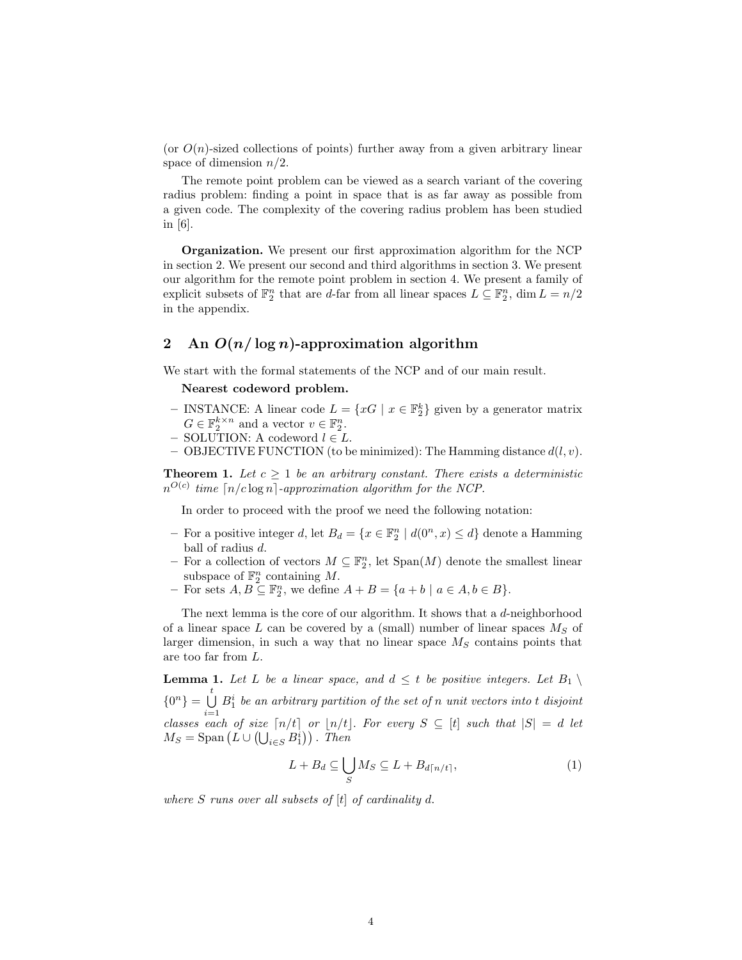(or  $O(n)$ -sized collections of points) further away from a given arbitrary linear space of dimension  $n/2$ .

The remote point problem can be viewed as a search variant of the covering radius problem: finding a point in space that is as far away as possible from a given code. The complexity of the covering radius problem has been studied in [6].

Organization. We present our first approximation algorithm for the NCP in section 2. We present our second and third algorithms in section 3. We present our algorithm for the remote point problem in section 4. We present a family of explicit subsets of  $\mathbb{F}_2^n$  that are d-far from all linear spaces  $L \subseteq \mathbb{F}_2^n$ ,  $\dim L = n/2$ in the appendix.

## 2 An  $O(n/\log n)$ -approximation algorithm

We start with the formal statements of the NCP and of our main result.

#### Nearest codeword problem.

- INSTANCE: A linear code  $L = \{xG \mid x \in \mathbb{F}_2^k\}$  given by a generator matrix  $G \in \mathbb{F}_2^{k \times n}$  and a vector  $v \in \mathbb{F}_2^n$ .
- SOLUTION: A codeword  $l \in L$ .
- OBJECTIVE FUNCTION (to be minimized): The Hamming distance  $d(l, v)$ .

**Theorem 1.** Let  $c \geq 1$  be an arbitrary constant. There exists a deterministic  $n^{O(c)}$  time  $\lceil n/c \log n \rceil$ -approximation algorithm for the NCP.

In order to proceed with the proof we need the following notation:

- For a positive integer d, let  $B_d = \{x \in \mathbb{F}_2^n \mid d(0^n, x) \leq d\}$  denote a Hamming ball of radius d.
- For a collection of vectors  $M ⊆ \mathbb{F}_2^n$ , let  $Span(M)$  denote the smallest linear subspace of  $\mathbb{F}_2^n$  containing M.
- For sets  $A, B \subseteq \mathbb{F}_2^n$ , we define  $A + B = \{a + b \mid a \in A, b \in B\}.$

The next lemma is the core of our algorithm. It shows that a d-neighborhood of a linear space L can be covered by a (small) number of linear spaces  $M<sub>S</sub>$  of larger dimension, in such a way that no linear space  $M<sub>S</sub>$  contains points that are too far from L.

**Lemma 1.** Let L be a linear space, and  $d \leq t$  be positive integers. Let  $B_1 \setminus$  ${0<sup>n</sup>} = \bigcup_{i=1}^{t} B_i^i$  be an arbitrary partition of the set of n unit vectors into t disjoint classes each of size  $\lceil n/t \rceil$  or  $\lceil n/t \rceil$ . For every  $S \subseteq [t]$  such that  $|S| = d$  let  $M_S = \text{Span}\left(L \cup (\bigcup_{i \in S} B_1^i)\right)$ . Then

$$
L + B_d \subseteq \bigcup_{S} M_S \subseteq L + B_{d\lceil n/t \rceil},\tag{1}
$$

where  $S$  runs over all subsets of  $[t]$  of cardinality d.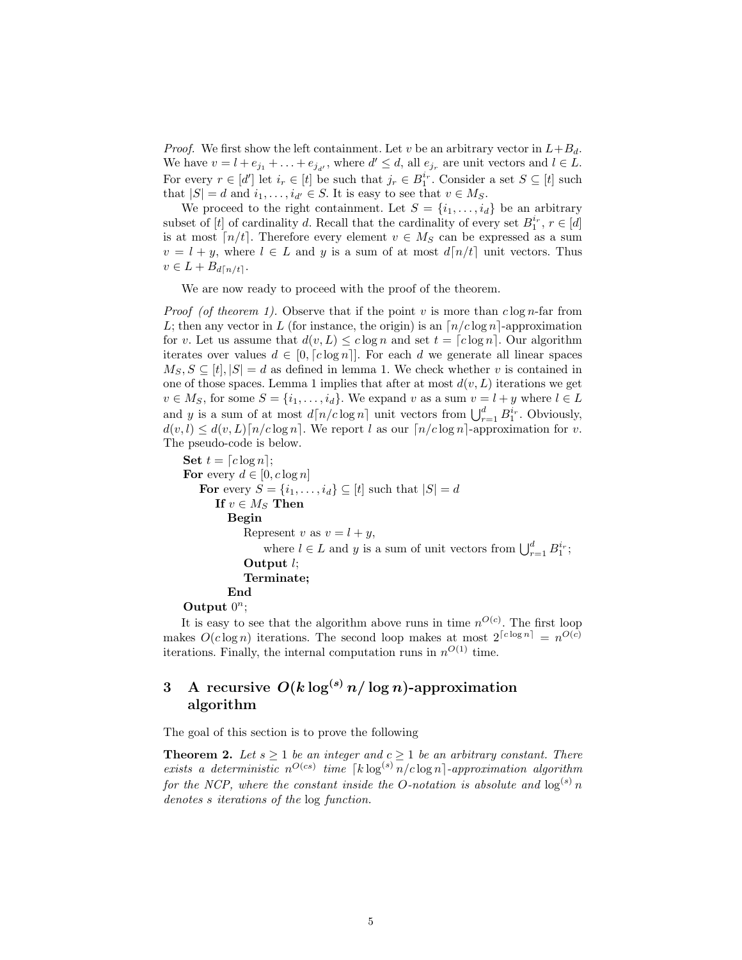*Proof.* We first show the left containment. Let v be an arbitrary vector in  $L+B_d$ . We have  $v = l + e_{j_1} + \ldots + e_{j_{d'}}$ , where  $d' \leq d$ , all  $e_{j_r}$  are unit vectors and  $l \in L$ . For every  $r \in [d']$  let  $i_r \in [t]$  be such that  $j_r \in B_1^{i_r}$ . Consider a set  $S \subseteq [t]$  such that  $|S| = d$  and  $i_1, \ldots, i_{d'} \in S$ . It is easy to see that  $v \in M_S$ .

We proceed to the right containment. Let  $S = \{i_1, \ldots, i_d\}$  be an arbitrary subset of [t] of cardinality d. Recall that the cardinality of every set  $B_1^{i_r}$ ,  $r \in [d]$ is at most  $\lceil n/t \rceil$ . Therefore every element  $v \in M_S$  can be expressed as a sum  $v = l + y$ , where  $l \in L$  and y is a sum of at most  $d[n/t]$  unit vectors. Thus  $v \in L + B_{d\lceil n/t \rceil}.$ 

We are now ready to proceed with the proof of the theorem.

*Proof (of theorem 1).* Observe that if the point v is more than  $c \log n$ -far from L; then any vector in L (for instance, the origin) is an  $\lceil n/c \log n \rceil$ -approximation for v. Let us assume that  $d(v, L) \leq c \log n$  and set  $t = [c \log n]$ . Our algorithm iterates over values  $d \in [0, \lceil c \log n \rceil]$ . For each d we generate all linear spaces  $M_S, S \subseteq [t], |S| = d$  as defined in lemma 1. We check whether v is contained in one of those spaces. Lemma 1 implies that after at most  $d(v, L)$  iterations we get  $v \in M_S$ , for some  $S = \{i_1, \ldots, i_d\}$ . We expand v as a sum  $v = l + y$  where  $l \in L$ and y is a sum of at most  $d\lceil n/c \log n \rceil$  unit vectors from  $\bigcup_{r=1}^d B_1^{i_r}$ . Obviously,  $d(v, l) \leq d(v, L) \lceil n/c \log n \rceil$ . We report l as our  $\lceil n/c \log n \rceil$ -approximation for v. The pseudo-code is below.

```
Set t = [c \log n];For every d \in [0, c \log n]For every S = \{i_1, \ldots, i_d\} \subseteq [t] such that |S| = dIf v \in M_S Then
Begin
    Represent v as v = l + y,
         where l \in L and y is a sum of unit vectors from \bigcup_{r=1}^{d} B_1^{i_r};
    Output l;
    Terminate;
End
```
Output  $0^n$ ;

It is easy to see that the algorithm above runs in time  $n^{O(c)}$ . The first loop makes  $O(c \log n)$  iterations. The second loop makes at most  $2^{\lceil c \log n \rceil} = n^{O(c)}$ iterations. Finally, the internal computation runs in  $n^{O(1)}$  time.

## 3 A recursive  $O(k \log^{(s)} n / \log n)$ -approximation algorithm

The goal of this section is to prove the following

**Theorem 2.** Let  $s \geq 1$  be an integer and  $c \geq 1$  be an arbitrary constant. There exists a deterministic  $n^{O(cs)}$  time  $\lceil k \log^{(s)} n/c \log n \rceil$ -approximation algorithm for the NCP, where the constant inside the O-notation is absolute and  $\log^{(s)} n$ denotes s iterations of the log function.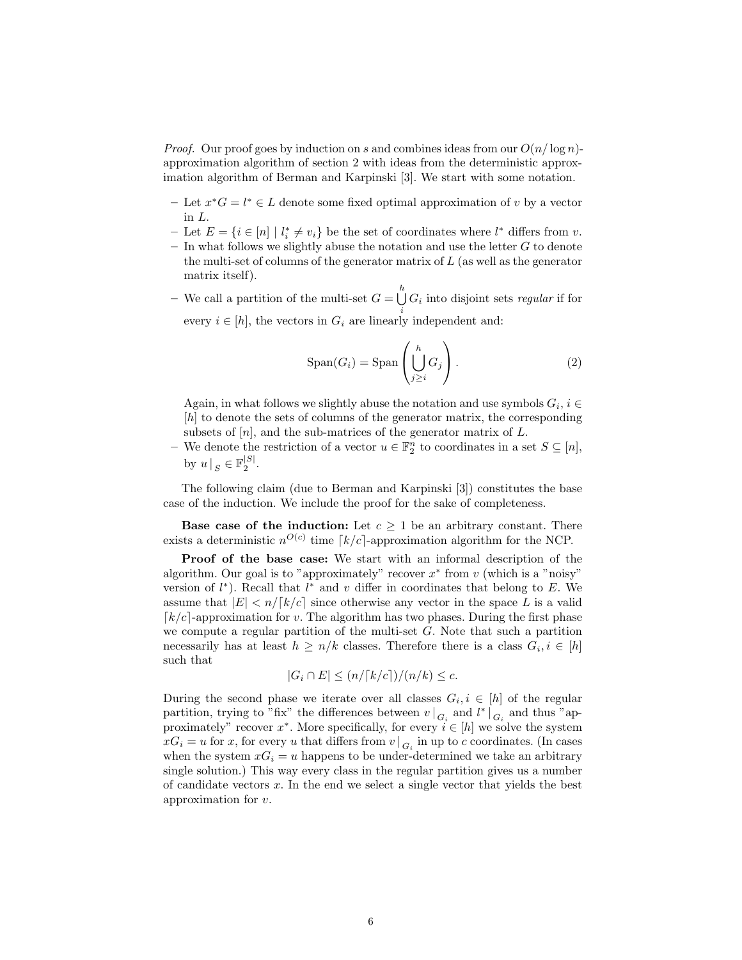*Proof.* Our proof goes by induction on s and combines ideas from our  $O(n/\log n)$ approximation algorithm of section 2 with ideas from the deterministic approximation algorithm of Berman and Karpinski [3]. We start with some notation.

- − Let  $x^*G = l^* \in L$  denote some fixed optimal approximation of v by a vector in L.
- − Let  $E = \{i \in [n] \mid l_i^* \neq v_i\}$  be the set of coordinates where  $l^*$  differs from v.  $-$  In what follows we slightly abuse the notation and use the letter  $G$  to denote
- the multi-set of columns of the generator matrix of  $L$  (as well as the generator matrix itself).
- We call a partition of the multi-set  $G = \bigcup_{i=1}^{h} G_i$  into disjoint sets *regular* if for every  $i \in [h]$ , the vectors in  $G_i$  are linearly independent and:

$$
\text{Span}(G_i) = \text{Span}\left(\bigcup_{j\geq i}^h G_j\right). \tag{2}
$$

Again, in what follows we slightly abuse the notation and use symbols  $G_i, i \in$ [h] to denote the sets of columns of the generator matrix, the corresponding subsets of  $[n]$ , and the sub-matrices of the generator matrix of  $L$ .

− We denote the restriction of a vector  $u \in \mathbb{F}_2^n$  to coordinates in a set  $S \subseteq [n]$ , by  $u \mid_{S} \in \mathbb{F}_2^{|S|}$ .

The following claim (due to Berman and Karpinski [3]) constitutes the base case of the induction. We include the proof for the sake of completeness.

**Base case of the induction:** Let  $c \geq 1$  be an arbitrary constant. There exists a deterministic  $n^{O(c)}$  time  $\lceil k/c \rceil$ -approximation algorithm for the NCP.

Proof of the base case: We start with an informal description of the algorithm. Our goal is to "approximately" recover  $x^*$  from  $v$  (which is a "noisy" version of  $l^*$ ). Recall that  $l^*$  and  $v$  differ in coordinates that belong to  $E$ . We assume that  $|E| < n/[k/c]$  since otherwise any vector in the space L is a valid  $\lceil k/c \rceil$ -approximation for v. The algorithm has two phases. During the first phase we compute a regular partition of the multi-set  $G$ . Note that such a partition necessarily has at least  $h \geq n/k$  classes. Therefore there is a class  $G_i, i \in [h]$ such that

$$
|G_i \cap E| \le (n/ \lceil k/c \rceil)/(n/k) \le c.
$$

During the second phase we iterate over all classes  $G_i, i \in [h]$  of the regular partition, trying to "fix" the differences between  $v \mid_{G_i}$  and  $l^* \mid_{G_i}$  and thus "approximately" recover  $x^*$ . More specifically, for every  $i \in [h]$  we solve the system  $xG_i = u$  for x, for every u that differs from  $v \mid G_i$  in up to c coordinates. (In cases when the system  $xG_i = u$  happens to be under-determined we take an arbitrary single solution.) This way every class in the regular partition gives us a number of candidate vectors  $x$ . In the end we select a single vector that yields the best approximation for v.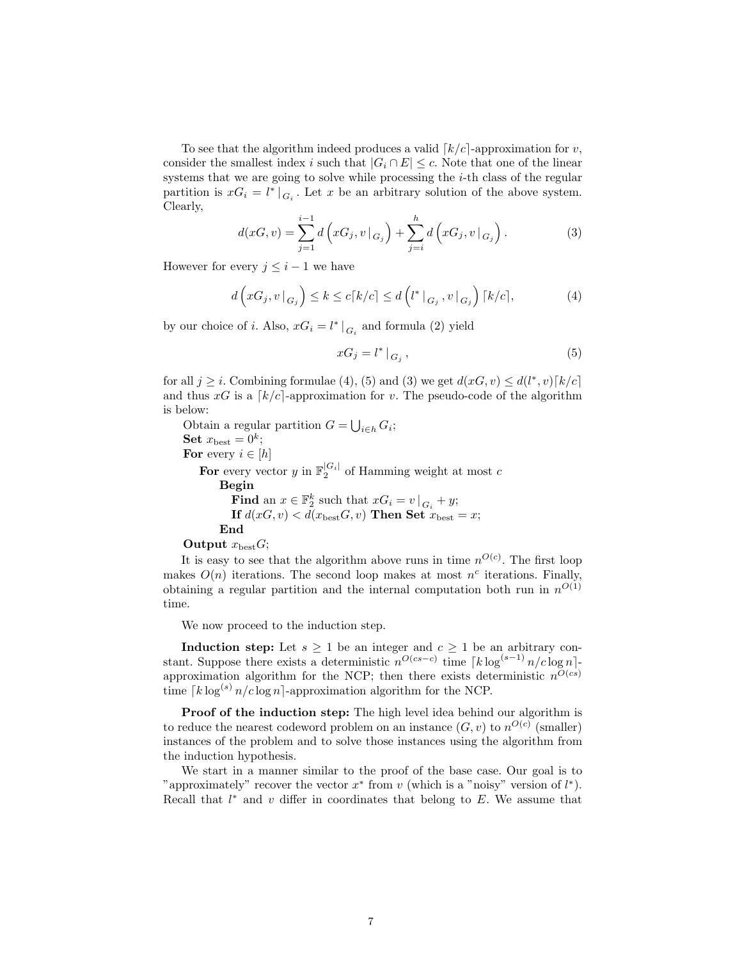To see that the algorithm indeed produces a valid  $\lceil k/c \rceil$ -approximation for v, consider the smallest index i such that  $|G_i \cap E| \leq c$ . Note that one of the linear systems that we are going to solve while processing the *i*-th class of the regular partition is  $xG_i = l^*|_{G_i}$ . Let x be an arbitrary solution of the above system. Clearly,

$$
d(xG, v) = \sum_{j=1}^{i-1} d\left(xG_j, v|_{G_j}\right) + \sum_{j=i}^{h} d\left(xG_j, v|_{G_j}\right).
$$
 (3)

However for every  $j \leq i - 1$  we have

$$
d\left(xG_j, v|_{G_j}\right) \le k \le c\lceil k/c \rceil \le d\left(l^*|_{G_j}, v|_{G_j}\right)\lceil k/c \rceil, \tag{4}
$$

by our choice of *i*. Also,  $xG_i = l^* |_{G_i}$  and formula (2) yield

$$
xG_j = l^* \mid_{G_j},\tag{5}
$$

for all  $j \geq i$ . Combining formulae (4), (5) and (3) we get  $d(x, v) \leq d(l^*, v)[k/c]$ and thus  $xG$  is a  $\lceil k/c \rceil$ -approximation for v. The pseudo-code of the algorithm is below:

Obtain a regular partition  $G = \bigcup_{i \in h} G_i$ ; Set  $x_{\text{best}} = 0^k$ ; For every  $i \in [h]$ For every vector y in  $\mathbb{F}_2^{|G_i|}$  of Hamming weight at most c Begin Find an  $x \in \mathbb{F}_2^k$  such that  $xG_i = v \mid G_i + y;$ If  $d(xG, v) < d(x_{best}G, v)$  Then Set  $x_{best} = x$ ; End Output  $x_{\text{best}}G$ ;

It is easy to see that the algorithm above runs in time  $n^{O(c)}$ . The first loop makes  $O(n)$  iterations. The second loop makes at most  $n<sup>c</sup>$  iterations. Finally, obtaining a regular partition and the internal computation both run in  $n^{O(1)}$ time.

We now proceed to the induction step.

Induction step: Let  $s \geq 1$  be an integer and  $c \geq 1$  be an arbitrary constant. Suppose there exists a deterministic  $n^{O(cs-c)}$  time  $\lceil k \log^{(s-1)} n/c \log n \rceil$ approximation algorithm for the NCP; then there exists deterministic  $n^{O(cs)}$ time  $\lceil k \log^{(s)} n/c \log n \rceil$ -approximation algorithm for the NCP.

Proof of the induction step: The high level idea behind our algorithm is to reduce the nearest codeword problem on an instance  $(G, v)$  to  $n^{O(c)}$  (smaller) instances of the problem and to solve those instances using the algorithm from the induction hypothesis.

We start in a manner similar to the proof of the base case. Our goal is to "approximately" recover the vector  $x^*$  from v (which is a "noisy" version of  $l^*$ ). Recall that  $l^*$  and  $v$  differ in coordinates that belong to  $E$ . We assume that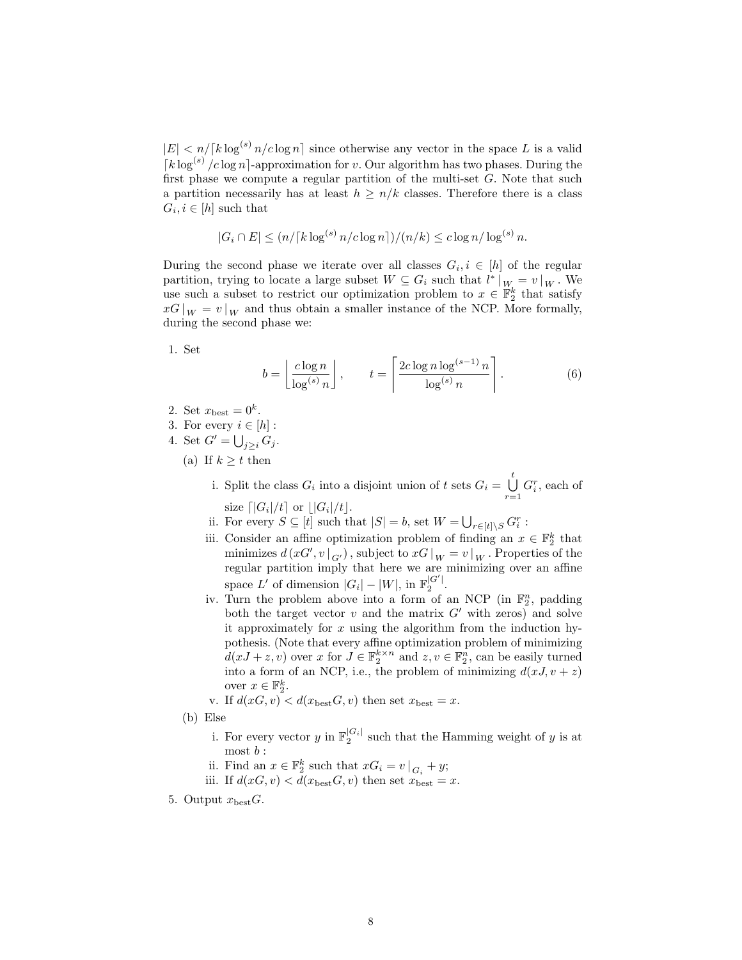$|E| < n/[\frac{k \log^{(s)} n}{c \log n}]$  since otherwise any vector in the space L is a valid  $\lceil k \log^{(s)} / c \log n \rceil$ -approximation for v. Our algorithm has two phases. During the first phase we compute a regular partition of the multi-set  $G$ . Note that such a partition necessarily has at least  $h \geq n/k$  classes. Therefore there is a class  $G_i, i \in [h]$  such that

$$
|G_i \cap E| \le (n/ \lceil k \log^{(s)} n/c \log n \rceil) / (n/k) \le c \log n / \log^{(s)} n.
$$

During the second phase we iterate over all classes  $G_i, i \in [h]$  of the regular partition, trying to locate a large subset  $W \subseteq G_i$  such that  $l^*|_{W_i} = v|_{W_i}$ . We use such a subset to restrict our optimization problem to  $x \in \mathbb{F}_2^k$  that satisfy  $xG|_W = v|_W$  and thus obtain a smaller instance of the NCP. More formally, during the second phase we:

1. Set

$$
b = \left\lfloor \frac{c \log n}{\log^{(s)} n} \right\rfloor, \qquad t = \left\lceil \frac{2c \log n \log^{(s-1)} n}{\log^{(s)} n} \right\rceil. \tag{6}
$$

- 2. Set  $x_{\text{best}} = 0^k$ .
- 3. For every  $i \in [h]$ :
- 4. Set  $G' = \bigcup_{j \geq i} G_j$ .
	- (a) If  $k \geq t$  then
		- i. Split the class  $G_i$  into a disjoint union of t sets  $G_i = \bigcup_{i=1}^{t} G_i$  $\bigcup_{r=1} G_i^r$ , each of size  $\lceil |G_i|/t \rceil$  or  $\lfloor |G_i|/t \rfloor$ .
		- ii. For every  $S \subseteq [t]$  such that  $|S| = b$ , set  $W = \bigcup_{r \in [t] \setminus S} G_i^r$ :
		- iii. Consider an affine optimization problem of finding an  $x \in \mathbb{F}_2^k$  that minimizes  $d(xG', v\vert_{G'})$ , subject to  $xG\vert_W = v\vert_W$ . Properties of the regular partition imply that here we are minimizing over an affine space  $L'$  of dimension  $|G_i| - |W|$ , in  $\mathbb{F}_2^{|G'|}$ .
		- iv. Turn the problem above into a form of an NCP (in  $\mathbb{F}_2^n$ , padding both the target vector  $v$  and the matrix  $G'$  with zeros) and solve it approximately for  $x$  using the algorithm from the induction hypothesis. (Note that every affine optimization problem of minimizing  $d(xJ + z, v)$  over x for  $J \in \mathbb{F}_2^{k \times n}$  and  $z, v \in \mathbb{F}_2^n$ , can be easily turned into a form of an NCP, i.e., the problem of minimizing  $d(xJ, v + z)$ over  $x \in \mathbb{F}_2^k$ .
		- v. If  $d(xG, v) < d(x_{best}G, v)$  then set  $x_{best} = x$ .
	- (b) Else
		- i. For every vector y in  $\mathbb{F}_2^{|G_i|}$  such that the Hamming weight of y is at most  $b$  :
		- ii. Find an  $x \in \mathbb{F}_2^k$  such that  $xG_i = v \mid G_i + y;$
		- iii. If  $d(xG, v) < d(x_{best}G, v)$  then set  $x_{best} = x$ .
- 5. Output  $x_{\text{best}}G$ .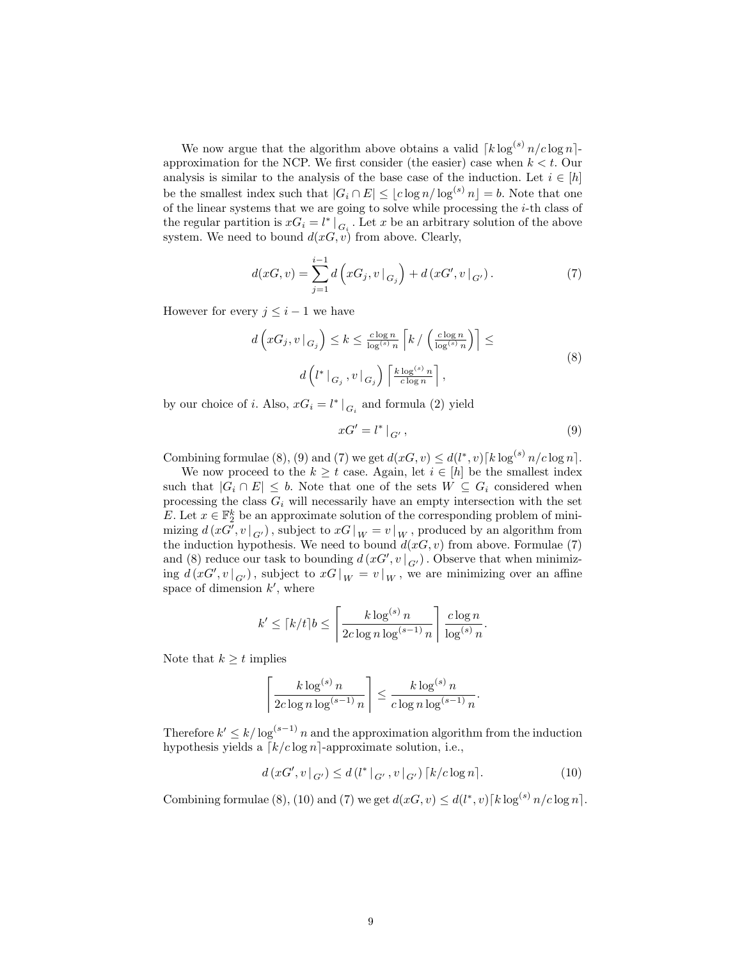We now argue that the algorithm above obtains a valid  $\lceil k \log^{(s)} n/c \log n \rceil$ approximation for the NCP. We first consider (the easier) case when  $k < t$ . Our analysis is similar to the analysis of the base case of the induction. Let  $i \in [h]$ be the smallest index such that  $|G_i \cap E| \leq \lfloor c \log n / \log^{(s)} n \rfloor = b$ . Note that one of the linear systems that we are going to solve while processing the  $i$ -th class of the regular partition is  $xG_i = l^* \mid_{G_i}$ . Let x be an arbitrary solution of the above system. We need to bound  $d(x, v)$  from above. Clearly,

$$
d(xG, v) = \sum_{j=1}^{i-1} d\left(xG_j, v|_{G_j}\right) + d\left(xG', v|_{G'}\right). \tag{7}
$$

However for every  $j \leq i - 1$  we have

$$
d\left(xG_j, v|_{G_j}\right) \le k \le \frac{c \log n}{\log^{(s)} n} \left[k / \left(\frac{c \log n}{\log^{(s)} n}\right)\right] \le
$$
  

$$
d\left(l^*|_{G_j}, v|_{G_j}\right) \left\lceil \frac{k \log^{(s)} n}{c \log n} \right\rceil,
$$
 (8)

by our choice of *i*. Also,  $xG_i = l^* |_{G_i}$  and formula (2) yield

$$
xG' = l^* \mid_{G'},\tag{9}
$$

Combining formulae (8), (9) and (7) we get  $d(xG, v) \leq d(l^*, v) \lceil k \log^{(s)} n / c \log n \rceil$ .

We now proceed to the  $k \geq t$  case. Again, let  $i \in [h]$  be the smallest index such that  $|G_i \cap E| \leq b$ . Note that one of the sets  $W \subseteq G_i$  considered when processing the class  $G_i$  will necessarily have an empty intersection with the set E. Let  $x \in \mathbb{F}_2^k$  be an approximate solution of the corresponding problem of minimizing  $d(xG', v\mid_{G'})$ , subject to  $xG\mid_W = v\mid_W$ , produced by an algorithm from the induction hypothesis. We need to bound  $d(x, v)$  from above. Formulae (7) and (8) reduce our task to bounding  $d(xG', v \mid_{G'})$ . Observe that when minimizing  $d(xG', v\vert_{G'})$ , subject to  $xG\vert_W = v\vert_W$ , we are minimizing over an affine space of dimension  $k'$ , where

$$
k' \leq \lceil k/t \rceil b \leq \left\lceil \frac{k \log^{(s)} n}{2c \log n \log^{(s-1)} n} \right\rceil \frac{c \log n}{\log^{(s)} n}.
$$

Note that  $k \geq t$  implies

$$
\left\lceil \frac{k \log^{(s)} n}{2c \log n \log^{(s-1)} n} \right\rceil \leq \frac{k \log^{(s)} n}{c \log n \log^{(s-1)} n}.
$$

Therefore  $k' \leq k/\log^{(s-1)} n$  and the approximation algorithm from the induction hypothesis yields a  $\lceil k/c \log n \rceil$ -approximate solution, i.e.,

$$
d(xG', v|_{G'}) \le d(l^*|_{G'}, v|_{G'}) \lceil k/c \log n \rceil. \tag{10}
$$

Combining formulae (8), (10) and (7) we get  $d(xG, v) \leq d(l^*, v) \lceil k \log^{(s)} n / c \log n \rceil$ .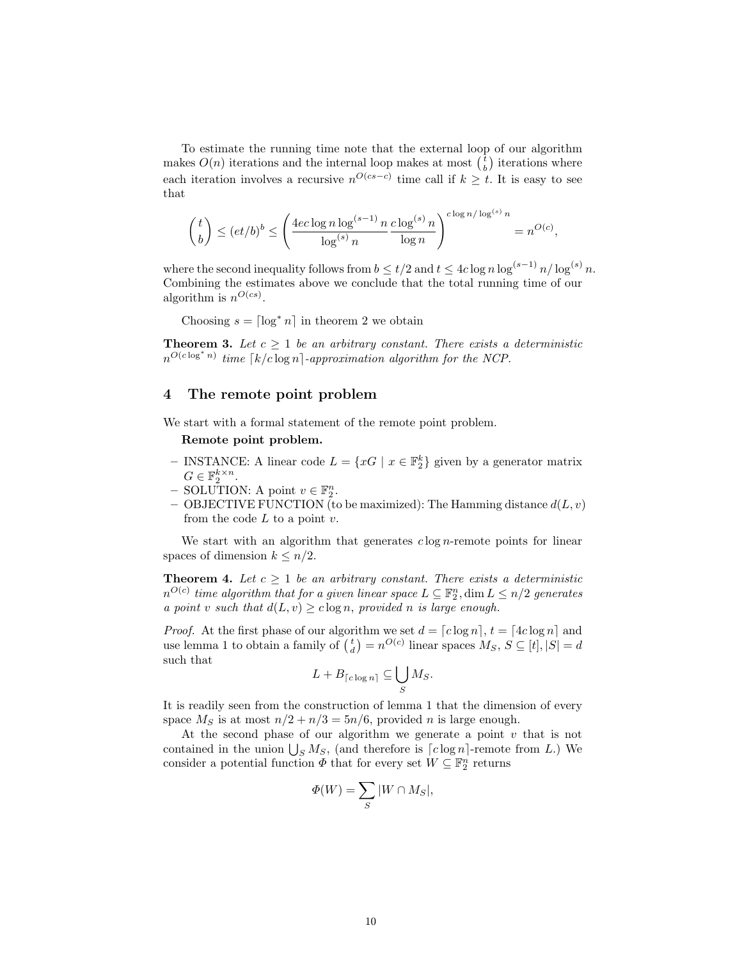To estimate the running time note that the external loop of our algorithm makes  $O(n)$  iterations and the internal loop makes at most  $\binom{t}{b}$  iterations where each iteration involves a recursive  $n^{O(c s - c)}$  time call if  $k \geq t$ . It is easy to see that

$$
\binom{t}{b} \leq (et/b)^b \leq \left(\frac{4ec\log n \log^{(s-1)} n}{\log^{(s)} n} \frac{c\log^{(s)} n}{\log n}\right)^{c\log n/\log^{(s)} n} = n^{O(c)},
$$

where the second inequality follows from  $b \le t/2$  and  $t \le 4c \log n \log^{(s-1)} n/\log^{(s)} n$ . Combining the estimates above we conclude that the total running time of our algorithm is  $n^{O(cs)}$ .

Choosing  $s = \lceil \log^* n \rceil$  in theorem 2 we obtain

**Theorem 3.** Let  $c \geq 1$  be an arbitrary constant. There exists a deterministic  $n^{O(c \log^* n)}$  time  $\lceil k/c \log n \rceil$ -approximation algorithm for the NCP.

#### 4 The remote point problem

We start with a formal statement of the remote point problem.

#### Remote point problem.

- INSTANCE: A linear code  $L = \{xG \mid x \in \mathbb{F}_2^k\}$  given by a generator matrix  $G \in \mathbb{F}_2^{k \times n}$ .
- $-$  SOLUTION: A point  $v \in \mathbb{F}_2^n$ .
- OBJECTIVE FUNCTION (to be maximized): The Hamming distance  $d(L, v)$ from the code  $L$  to a point  $v$ .

We start with an algorithm that generates  $c \log n$ -remote points for linear spaces of dimension  $k \leq n/2$ .

**Theorem 4.** Let  $c \geq 1$  be an arbitrary constant. There exists a deterministic  $n^{O(c)}$  time algorithm that for a given linear space  $L\subseteq\mathbb{F}_2^n,\dim L\leq n/2$  generates a point v such that  $d(L, v) \geq c \log n$ , provided n is large enough.

*Proof.* At the first phase of our algorithm we set  $d = [c \log n], t = [4c \log n]$  and use lemma 1 to obtain a family of  $\binom{t}{d} = n^{O(c)}$  linear spaces  $M_S$ ,  $S \subseteq [t]$ ,  $|S| = d$ such that

$$
L + B_{\lceil c \log n \rceil} \subseteq \bigcup_{S} M_S.
$$

It is readily seen from the construction of lemma 1 that the dimension of every space  $M<sub>S</sub>$  is at most  $n/2 + n/3 = 5n/6$ , provided *n* is large enough.

At the second phase of our algorithm we generate a point  $v$  that is not contained in the union  $\bigcup_{S} M_S$ , (and therefore is  $\lceil c \log n \rceil$ -remote from L.) We consider a potential function  $\Phi$  that for every set  $W \subseteq \mathbb{F}_2^n$  returns

$$
\Phi(W) = \sum_{S} |W \cap M_S|,
$$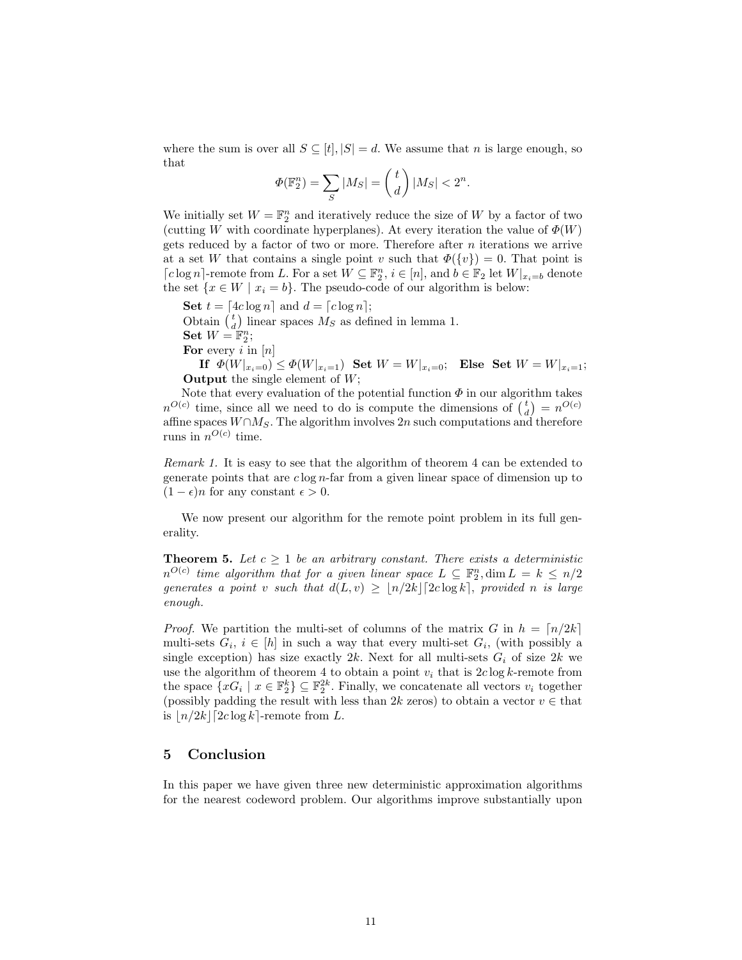where the sum is over all  $S \subseteq [t], |S| = d$ . We assume that n is large enough, so that

$$
\Phi(\mathbb{F}_2^n) = \sum_S |M_S| = \binom{t}{d} |M_S| < 2^n.
$$

We initially set  $W = \mathbb{F}_2^n$  and iteratively reduce the size of W by a factor of two (cutting W with coordinate hyperplanes). At every iteration the value of  $\Phi(W)$ gets reduced by a factor of two or more. Therefore after  $n$  iterations we arrive at a set W that contains a single point v such that  $\Phi({v}) = 0$ . That point is  $\lceil c \log n \rceil$ -remote from L. For a set  $W \subseteq \mathbb{F}_2^n$ ,  $i \in [n]$ , and  $b \in \mathbb{F}_2$  let  $W|_{x_i=b}$  denote the set  $\{x \in W \mid x_i = b\}$ . The pseudo-code of our algorithm is below:

Set  $t = \lfloor 4c \log n \rfloor$  and  $d = \lfloor c \log n \rfloor$ ; Obtain  $\begin{pmatrix} t \\ d \end{pmatrix}$  linear spaces  $M_S$  as defined in lemma 1. Set  $W = \mathbb{F}_2^n$ ; For every i in  $[n]$ 

If  $\Phi(W|_{x_i=0}) \leq \Phi(W|_{x_i=1})$  Set  $W = W|_{x_i=0}$ ; Else Set  $W = W|_{x_i=1}$ ; **Output** the single element of  $W$ ;

Note that every evaluation of the potential function  $\Phi$  in our algorithm takes  $n^{O(c)}$  time, since all we need to do is compute the dimensions of  $\binom{t}{d} = n^{O(c)}$ affine spaces  $W \cap M_S$ . The algorithm involves 2n such computations and therefore runs in  $n^{O(c)}$  time.

Remark 1. It is easy to see that the algorithm of theorem 4 can be extended to generate points that are  $c \log n$ -far from a given linear space of dimension up to  $(1 - \epsilon)n$  for any constant  $\epsilon > 0$ .

We now present our algorithm for the remote point problem in its full generality.

**Theorem 5.** Let  $c \geq 1$  be an arbitrary constant. There exists a deterministic  $n^{O(c)}$  time algorithm that for a given linear space  $L \subseteq \mathbb{F}_2^n, \dim L = k \leq n/2$ generates a point v such that  $d(L, v) > |n/2k| [2c \log k]$ , provided n is large enough.

*Proof.* We partition the multi-set of columns of the matrix G in  $h = \lfloor n/2k \rfloor$ multi-sets  $G_i$ ,  $i \in [h]$  in such a way that every multi-set  $G_i$ , (with possibly a single exception) has size exactly 2k. Next for all multi-sets  $G_i$  of size 2k we use the algorithm of theorem 4 to obtain a point  $v_i$  that is  $2c \log k$ -remote from the space  $\{xG_i \mid x \in \mathbb{F}_2^k\} \subseteq \mathbb{F}_2^{2k}$ . Finally, we concatenate all vectors  $v_i$  together (possibly padding the result with less than 2k zeros) to obtain a vector  $v \in$  that is  $\lfloor n/2k\rfloor$  [2c log k]-remote from L.

#### 5 Conclusion

In this paper we have given three new deterministic approximation algorithms for the nearest codeword problem. Our algorithms improve substantially upon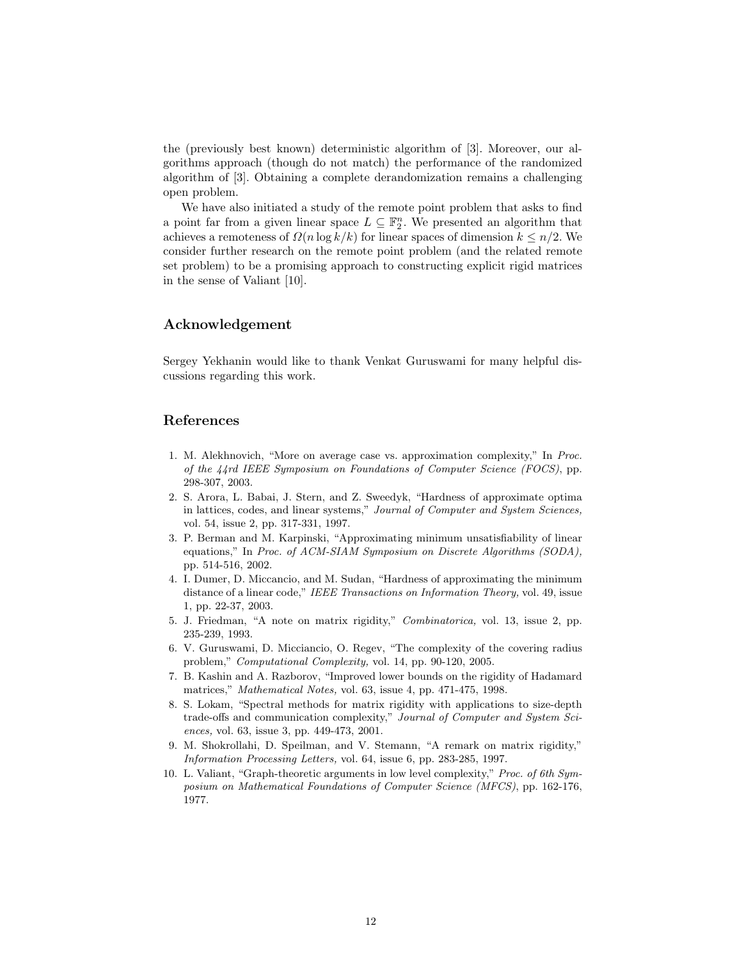the (previously best known) deterministic algorithm of [3]. Moreover, our algorithms approach (though do not match) the performance of the randomized algorithm of [3]. Obtaining a complete derandomization remains a challenging open problem.

We have also initiated a study of the remote point problem that asks to find a point far from a given linear space  $L \subseteq \mathbb{F}_2^n$ . We presented an algorithm that achieves a remoteness of  $\Omega(n \log k/k)$  for linear spaces of dimension  $k \leq n/2$ . We consider further research on the remote point problem (and the related remote set problem) to be a promising approach to constructing explicit rigid matrices in the sense of Valiant [10].

### Acknowledgement

Sergey Yekhanin would like to thank Venkat Guruswami for many helpful discussions regarding this work.

#### References

- 1. M. Alekhnovich, "More on average case vs. approximation complexity," In Proc. of the 44rd IEEE Symposium on Foundations of Computer Science (FOCS), pp. 298-307, 2003.
- 2. S. Arora, L. Babai, J. Stern, and Z. Sweedyk, "Hardness of approximate optima in lattices, codes, and linear systems," Journal of Computer and System Sciences, vol. 54, issue 2, pp. 317-331, 1997.
- 3. P. Berman and M. Karpinski, "Approximating minimum unsatisfiability of linear equations," In Proc. of ACM-SIAM Symposium on Discrete Algorithms (SODA), pp. 514-516, 2002.
- 4. I. Dumer, D. Miccancio, and M. Sudan, "Hardness of approximating the minimum distance of a linear code," IEEE Transactions on Information Theory, vol. 49, issue 1, pp. 22-37, 2003.
- 5. J. Friedman, "A note on matrix rigidity," Combinatorica, vol. 13, issue 2, pp. 235-239, 1993.
- 6. V. Guruswami, D. Micciancio, O. Regev, "The complexity of the covering radius problem," Computational Complexity, vol. 14, pp. 90-120, 2005.
- 7. B. Kashin and A. Razborov, "Improved lower bounds on the rigidity of Hadamard matrices," *Mathematical Notes*, vol. 63, issue 4, pp. 471-475, 1998.
- 8. S. Lokam, "Spectral methods for matrix rigidity with applications to size-depth trade-offs and communication complexity," Journal of Computer and System Sciences, vol. 63, issue 3, pp. 449-473, 2001.
- 9. M. Shokrollahi, D. Speilman, and V. Stemann, "A remark on matrix rigidity," Information Processing Letters, vol. 64, issue 6, pp. 283-285, 1997.
- 10. L. Valiant, "Graph-theoretic arguments in low level complexity," Proc. of 6th Symposium on Mathematical Foundations of Computer Science (MFCS), pp. 162-176, 1977.